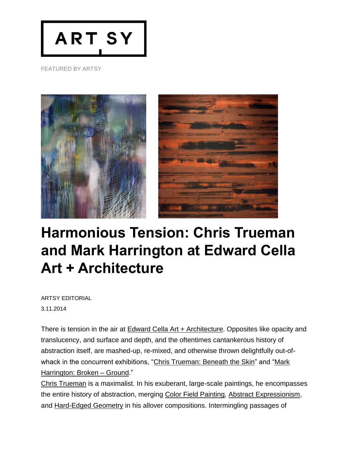

FEATURED BY ARTSY



## **Harmonious Tension: Chris Trueman and Mark Harrington at Edward Cella Art + Architecture**

ARTSY [EDITORIAL](https://artsy.net/editorial) 3.11.2014

There is tension in the air at Edward Cella Art + [Architecture.](http://artsy.net/edward-cella-art-and-architecture/overview) Opposites like opacity and translucency, and surface and depth, and the oftentimes cantankerous history of abstraction itself, are mashed-up, re-mixed, and otherwise thrown delightfully out-of-whack in the concurrent exhibitions, "Chris [Trueman:](https://artsy.net/show/edward-cella-art-and-architecture-beneath-the-skin) Beneath the Skin" and ["Mark](https://artsy.net/show/edward-cella-art-and-architecture-broken-ground) [Harrington:](https://artsy.net/show/edward-cella-art-and-architecture-broken-ground) Broken – Ground."

Chris [Trueman](https://artsy.net/artist/chris-trueman) is a maximalist. In his exuberant, large-scale paintings, he encompasses the entire history of abstraction, merging Color Field [Painting,](https://artsy.net/gene/color-field-painting) Abstract [Expressionism,](https://artsy.net/gene/abstract-expressionism) and [Hard-Edged](https://artsy.net/gene/hard-edged-1) Geometry in his allover compositions. Intermingling passages of